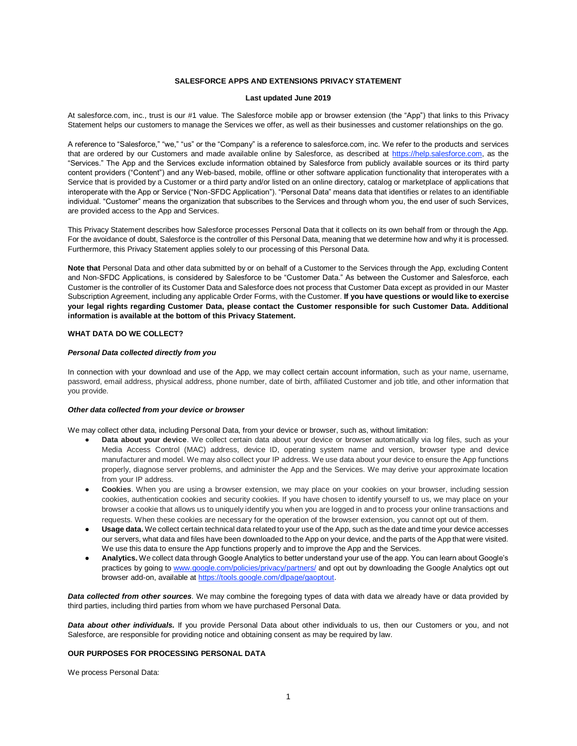# **SALESFORCE APPS AND EXTENSIONS PRIVACY STATEMENT**

### **Last updated June 2019**

At salesforce.com, inc., trust is our #1 value. The Salesforce mobile app or browser extension (the "App") that links to this Privacy Statement helps our customers to manage the Services we offer, as well as their businesses and customer relationships on the go.

A reference to "Salesforce," "we," "us" or the "Company" is a reference to salesforce.com, inc. We refer to the products and services that are ordered by our Customers and made available online by Salesforce, as described at [https://help.salesforce.com,](https://help.salesforce.com/) as the "Services." The App and the Services exclude information obtained by Salesforce from publicly available sources or its third party content providers ("Content") and any Web-based, mobile, offline or other software application functionality that interoperates with a Service that is provided by a Customer or a third party and/or listed on an online directory, catalog or marketplace of applications that interoperate with the App or Service ("Non-SFDC Application"). "Personal Data" means data that identifies or relates to an identifiable individual. "Customer" means the organization that subscribes to the Services and through whom you, the end user of such Services, are provided access to the App and Services.

This Privacy Statement describes how Salesforce processes Personal Data that it collects on its own behalf from or through the App. For the avoidance of doubt, Salesforce is the controller of this Personal Data, meaning that we determine how and why it is processed. Furthermore, this Privacy Statement applies solely to our processing of this Personal Data.

**Note that** Personal Data and other data submitted by or on behalf of a Customer to the Services through the App, excluding Content and Non-SFDC Applications, is considered by Salesforce to be "Customer Data." As between the Customer and Salesforce, each Customer is the controller of its Customer Data and Salesforce does not process that Customer Data except as provided in our Master Subscription Agreement, including any applicable Order Forms, with the Customer. **If you have questions or would like to exercise your legal rights regarding Customer Data, please contact the Customer responsible for such Customer Data. Additional information is available at the bottom of this Privacy Statement.**

# **WHAT DATA DO WE COLLECT?**

### *Personal Data collected directly from you*

In connection with your download and use of the App, we may collect certain account information, such as your name, username, password, email address, physical address, phone number, date of birth, affiliated Customer and job title, and other information that you provide.

#### *Other data collected from your device or browser*

We may collect other data, including Personal Data, from your device or browser, such as, without limitation:

- Data about your device. We collect certain data about your device or browser automatically via log files, such as your Media Access Control (MAC) address, device ID, operating system name and version, browser type and device manufacturer and model. We may also collect your IP address. We use data about your device to ensure the App functions properly, diagnose server problems, and administer the App and the Services. We may derive your approximate location from your IP address.
- **Cookies**. When you are using a browser extension, we may place on your cookies on your browser, including session cookies, authentication cookies and security cookies. If you have chosen to identify yourself to us, we may place on your browser a cookie that allows us to uniquely identify you when you are logged in and to process your online transactions and requests. When these cookies are necessary for the operation of the browser extension, you cannot opt out of them.
- Usage data. We collect certain technical data related to your use of the App, such as the date and time your device accesses our servers, what data and files have been downloaded to the App on your device, and the parts of the App that were visited. We use this data to ensure the App functions properly and to improve the App and the Services.
- **Analytics.** We collect data through Google Analytics to better understand your use of the app. You can learn about Google's practices by going to [www.google.com/policies/privacy/partners/](http://www.google.com/policies/privacy/partners/) and opt out by downloading the Google Analytics opt out browser add-on, available a[t https://tools.google.com/dlpage/gaoptout.](https://tools.google.com/dlpage/gaoptout)

*Data collected from other sources.* We may combine the foregoing types of data with data we already have or data provided by third parties, including third parties from whom we have purchased Personal Data.

*Data about other individuals.* If you provide Personal Data about other individuals to us, then our Customers or you, and not Salesforce, are responsible for providing notice and obtaining consent as may be required by law.

## **OUR PURPOSES FOR PROCESSING PERSONAL DATA**

We process Personal Data: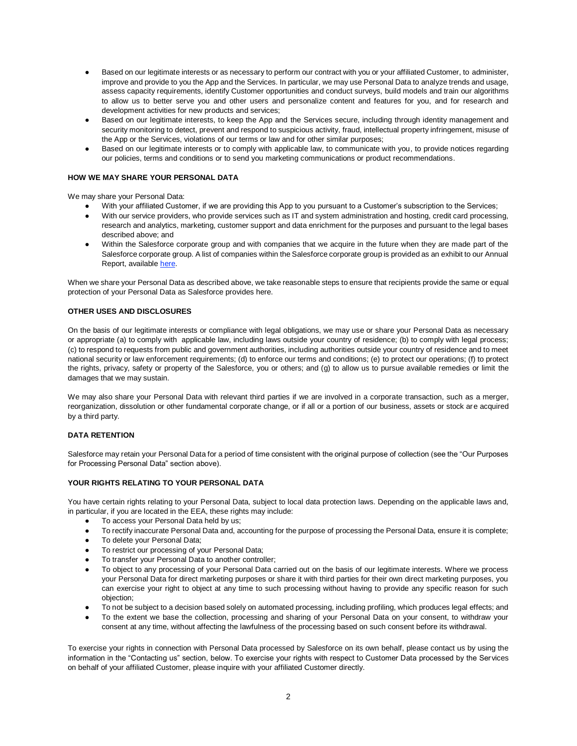- Based on our legitimate interests or as necessary to perform our contract with you or your affiliated Customer, to administer, improve and provide to you the App and the Services. In particular, we may use Personal Data to analyze trends and usage, assess capacity requirements, identify Customer opportunities and conduct surveys, build models and train our algorithms to allow us to better serve you and other users and personalize content and features for you, and for research and development activities for new products and services;
- Based on our legitimate interests, to keep the App and the Services secure, including through identity management and security monitoring to detect, prevent and respond to suspicious activity, fraud, intellectual property infringement, misuse of the App or the Services, violations of our terms or law and for other similar purposes;
- Based on our legitimate interests or to comply with applicable law, to communicate with you, to provide notices regarding our policies, terms and conditions or to send you marketing communications or product recommendations.

# **HOW WE MAY SHARE YOUR PERSONAL DATA**

We may share your Personal Data:

- With your affiliated Customer, if we are providing this App to you pursuant to a Customer's subscription to the Services;
- With our service providers, who provide services such as IT and system administration and hosting, credit card processing, research and analytics, marketing, customer support and data enrichment for the purposes and pursuant to the legal bases described above; and
- Within the Salesforce corporate group and with companies that we acquire in the future when they are made part of the Salesforce corporate group. A list of companies within the Salesforce corporate group is provided as an exhibit to our Annual Report, available [here.](https://investor.salesforce.com/about-us/investor/financials/default.aspx)

When we share your Personal Data as described above, we take reasonable steps to ensure that recipients provide the same or equal protection of your Personal Data as Salesforce provides here.

# **OTHER USES AND DISCLOSURES**

On the basis of our legitimate interests or compliance with legal obligations, we may use or share your Personal Data as necessary or appropriate (a) to comply with applicable law, including laws outside your country of residence; (b) to comply with legal process; (c) to respond to requests from public and government authorities, including authorities outside your country of residence and to meet national security or law enforcement requirements; (d) to enforce our terms and conditions; (e) to protect our operations; (f) to protect the rights, privacy, safety or property of the Salesforce, you or others; and (g) to allow us to pursue available remedies or limit the damages that we may sustain.

We may also share your Personal Data with relevant third parties if we are involved in a corporate transaction, such as a merger, reorganization, dissolution or other fundamental corporate change, or if all or a portion of our business, assets or stock are acquired by a third party.

# **DATA RETENTION**

Salesforce may retain your Personal Data for a period of time consistent with the original purpose of collection (see the "Our Purposes for Processing Personal Data" section above).

# **YOUR RIGHTS RELATING TO YOUR PERSONAL DATA**

You have certain rights relating to your Personal Data, subject to local data protection laws. Depending on the applicable laws and, in particular, if you are located in the EEA, these rights may include:

- To access your Personal Data held by us;
- To rectify inaccurate Personal Data and, accounting for the purpose of processing the Personal Data, ensure it is complete;
- To delete your Personal Data;
- To restrict our processing of your Personal Data;
- To transfer your Personal Data to another controller;
- To object to any processing of your Personal Data carried out on the basis of our legitimate interests. Where we process your Personal Data for direct marketing purposes or share it with third parties for their own direct marketing purposes, you can exercise your right to object at any time to such processing without having to provide any specific reason for such objection;
- To not be subject to a decision based solely on automated processing, including profiling, which produces legal effects; and
- To the extent we base the collection, processing and sharing of your Personal Data on your consent, to withdraw your consent at any time, without affecting the lawfulness of the processing based on such consent before its withdrawal.

To exercise your rights in connection with Personal Data processed by Salesforce on its own behalf, please contact us by using the information in the "Contacting us" section, below. To exercise your rights with respect to Customer Data processed by the Services on behalf of your affiliated Customer, please inquire with your affiliated Customer directly.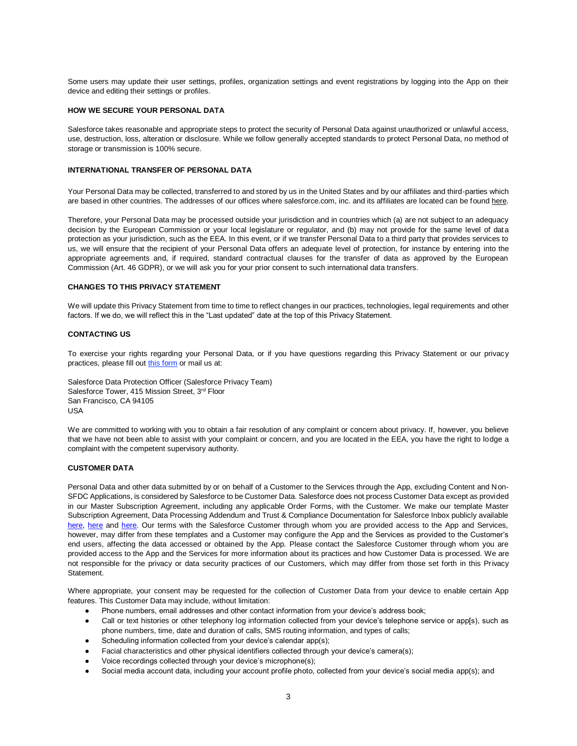Some users may update their user settings, profiles, organization settings and event registrations by logging into the App on their device and editing their settings or profiles.

### **HOW WE SECURE YOUR PERSONAL DATA**

Salesforce takes reasonable and appropriate steps to protect the security of Personal Data against unauthorized or unlawful access, use, destruction, loss, alteration or disclosure. While we follow generally accepted standards to protect Personal Data, no method of storage or transmission is 100% secure.

# **INTERNATIONAL TRANSFER OF PERSONAL DATA**

Your Personal Data may be collected, transferred to and stored by us in the United States and by our affiliates and third-parties which are based in other countries. The addresses of our offices where salesforce.com, inc. and its affiliates are located can be found [here.](https://www.salesforce.com/company/locations/)

Therefore, your Personal Data may be processed outside your jurisdiction and in countries which (a) are not subject to an adequacy decision by the European Commission or your local legislature or regulator, and (b) may not provide for the same level of data protection as your jurisdiction, such as the EEA. In this event, or if we transfer Personal Data to a third party that provides services to us, we will ensure that the recipient of your Personal Data offers an adequate level of protection, for instance by entering into the appropriate agreements and, if required, standard contractual clauses for the transfer of data as approved by the European Commission (Art. 46 GDPR), or we will ask you for your prior consent to such international data transfers.

## **CHANGES TO THIS PRIVACY STATEMENT**

We will update this Privacy Statement from time to time to reflect changes in our practices, technologies, legal requirements and other factors. If we do, we will reflect this in the "Last updated" date at the top of this Privacy Statement.

### **CONTACTING US**

To exercise your rights regarding your Personal Data, or if you have questions regarding this Privacy Statement or our privacy practices, please fill out [this form](https://www.salesforce.com/form/contact/contact-privacy.jsp) or mail us at:

Salesforce Data Protection Officer (Salesforce Privacy Team) Salesforce Tower, 415 Mission Street, 3rd Floor San Francisco, CA 94105 USA

We are committed to working with you to obtain a fair resolution of any complaint or concern about privacy. If, however, you believe that we have not been able to assist with your complaint or concern, and you are located in the EEA, you have the right to lodge a complaint with the competent supervisory authority.

## **CUSTOMER DATA**

Personal Data and other data submitted by or on behalf of a Customer to the Services through the App, excluding Content and Non-SFDC Applications, is considered by Salesforce to be Customer Data. Salesforce does not process Customer Data except as provided in our Master Subscription Agreement, including any applicable Order Forms, with the Customer. We make our template Master Subscription Agreement, Data Processing Addendum and Trust & Compliance Documentation for Salesforce Inbox publicly available [here,](https://www.salesforce.com/content/dam/web/en_us/www/documents/legal/salesforce_MSA.pdf) [here](https://c1.sfdcstatic.com/content/dam/web/en_us/www/documents/legal/Agreements/data-processing-addendum.pdf) and [here.](https://trust.salesforce.com/en/trust-and-compliance-documentation/) Our terms with the Salesforce Customer through whom you are provided access to the App and Services, however, may differ from these templates and a Customer may configure the App and the Services as provided to the Customer's end users, affecting the data accessed or obtained by the App. Please contact the Salesforce Customer through whom you are provided access to the App and the Services for more information about its practices and how Customer Data is processed. We are not responsible for the privacy or data security practices of our Customers, which may differ from those set forth in this Privacy Statement.

Where appropriate, your consent may be requested for the collection of Customer Data from your device to enable certain App features. This Customer Data may include, without limitation:

- Phone numbers, email addresses and other contact information from your device's address book;
- Call or text histories or other telephony log information collected from your device's telephone service or app[s), such as phone numbers, time, date and duration of calls, SMS routing information, and types of calls;
- Scheduling information collected from your device's calendar app(s);
- Facial characteristics and other physical identifiers collected through your device's camera(s);
- Voice recordings collected through your device's microphone(s);
- Social media account data, including your account profile photo, collected from your device's social media app(s); and